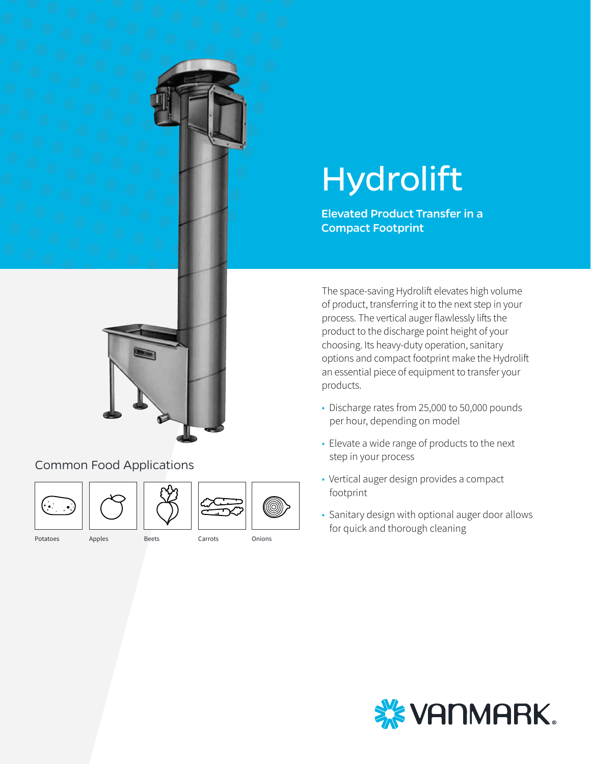



### Common Food Applications





|--|

#### Potatoes Apples Beets Carrots Onions

# Hydrolift

Elevated Product Transfer in a Compact Footprint

The space-saving Hydrolift elevates high volume of product, transferring it to the next step in your process. The vertical auger flawlessly lifts the product to the discharge point height of your choosing. Its heavy-duty operation, sanitary options and compact footprint make the Hydrolift an essential piece of equipment to transfer your products.

- Discharge rates from 25,000 to 50,000 pounds per hour, depending on model
- Elevate a wide range of products to the next step in your process
- Vertical auger design provides a compact footprint
- Sanitary design with optional auger door allows for quick and thorough cleaning